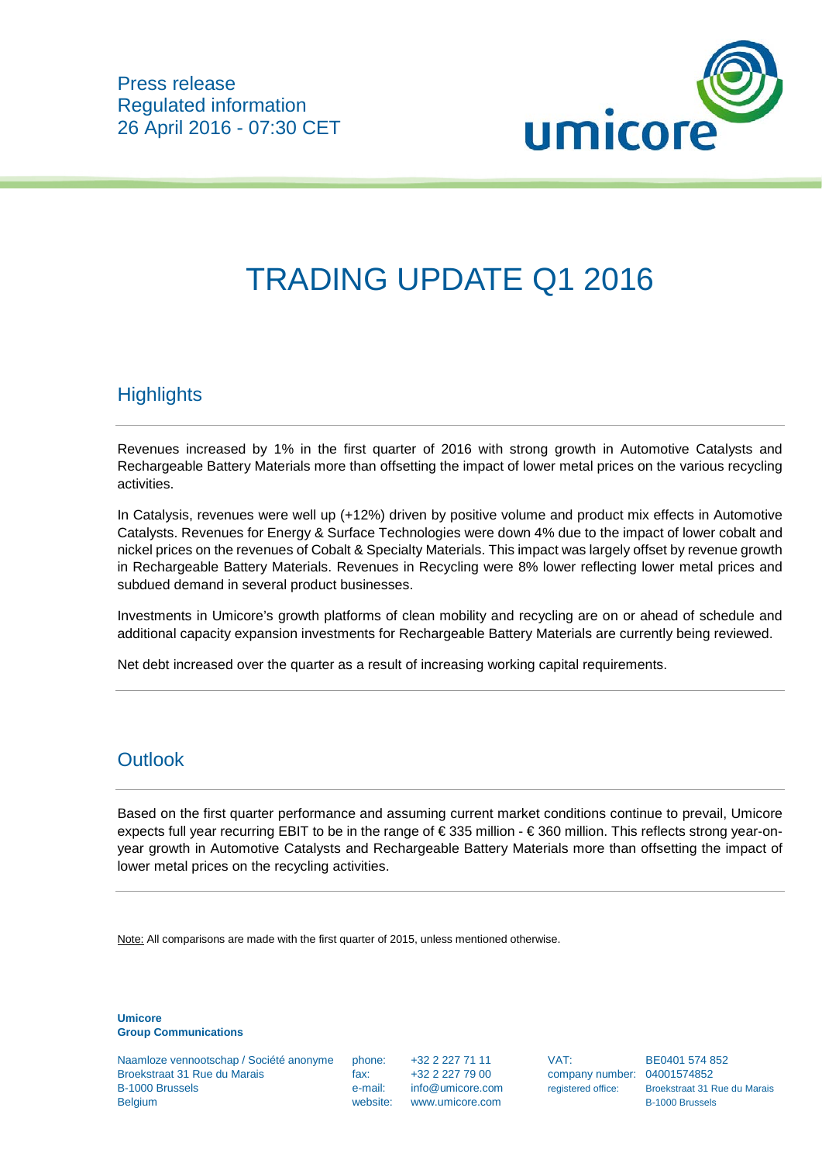

# TRADING UPDATE Q1 2016

## **Highlights**

Revenues increased by 1% in the first quarter of 2016 with strong growth in Automotive Catalysts and Rechargeable Battery Materials more than offsetting the impact of lower metal prices on the various recycling activities.

In Catalysis, revenues were well up (+12%) driven by positive volume and product mix effects in Automotive Catalysts. Revenues for Energy & Surface Technologies were down 4% due to the impact of lower cobalt and nickel prices on the revenues of Cobalt & Specialty Materials. This impact was largely offset by revenue growth in Rechargeable Battery Materials. Revenues in Recycling were 8% lower reflecting lower metal prices and subdued demand in several product businesses.

Investments in Umicore's growth platforms of clean mobility and recycling are on or ahead of schedule and additional capacity expansion investments for Rechargeable Battery Materials are currently being reviewed.

Net debt increased over the quarter as a result of increasing working capital requirements.

#### **Outlook**

Based on the first quarter performance and assuming current market conditions continue to prevail, Umicore expects full year recurring EBIT to be in the range of € 335 million - € 360 million. This reflects strong year-onyear growth in Automotive Catalysts and Rechargeable Battery Materials more than offsetting the impact of lower metal prices on the recycling activities.

Note: All comparisons are made with the first quarter of 2015, unless mentioned otherwise.

**Umicore Group Communications**

Naamloze vennootschap / Société anonyme phone: +32 2 227 71 11 VAT: BE0401 574 852 Broekstraat 31 Rue du Marais fax: +32 2 227 79 00 company number: 04001574852 B-1000 Brussels **E-mail:** info@umicore.com registered office: Broekstraat 31 Rue du Marais Belgium website: www.umicore.com B-1000 Brussels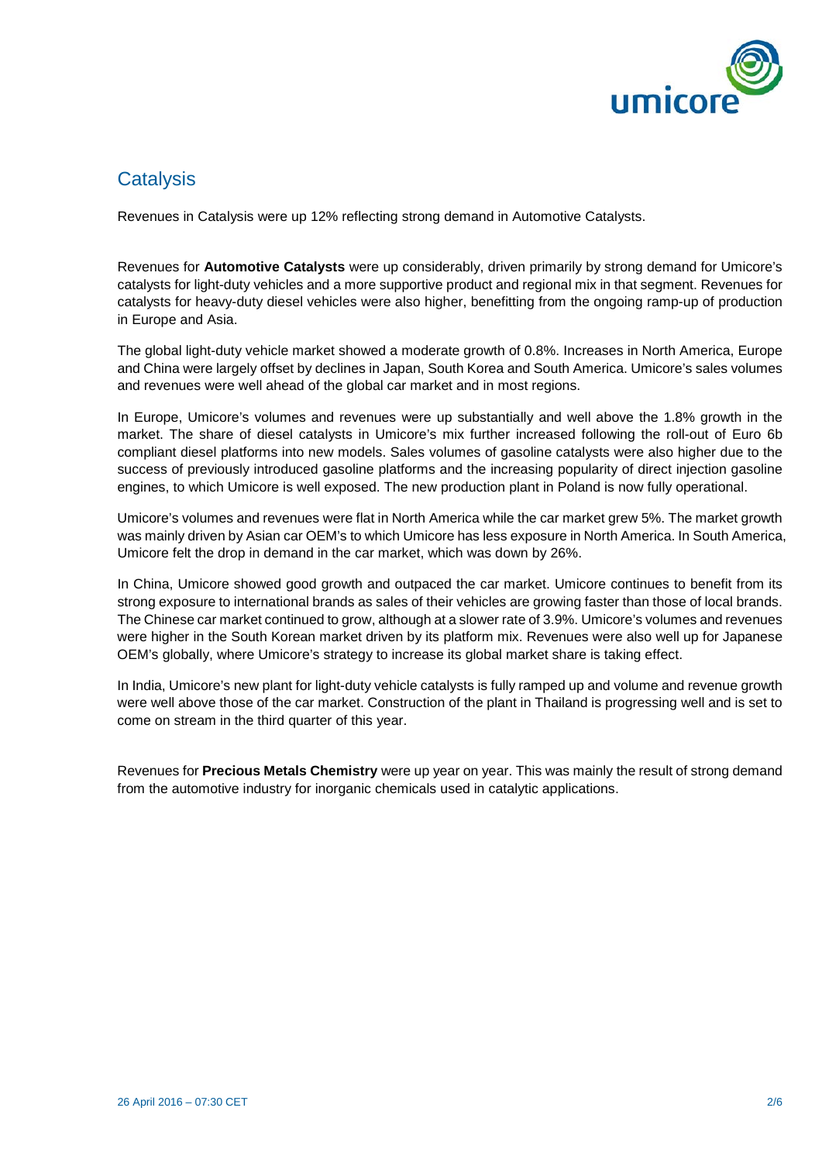

## **Catalysis**

Revenues in Catalysis were up 12% reflecting strong demand in Automotive Catalysts.

Revenues for **Automotive Catalysts** were up considerably, driven primarily by strong demand for Umicore's catalysts for light-duty vehicles and a more supportive product and regional mix in that segment. Revenues for catalysts for heavy-duty diesel vehicles were also higher, benefitting from the ongoing ramp-up of production in Europe and Asia.

The global light-duty vehicle market showed a moderate growth of 0.8%. Increases in North America, Europe and China were largely offset by declines in Japan, South Korea and South America. Umicore's sales volumes and revenues were well ahead of the global car market and in most regions.

In Europe, Umicore's volumes and revenues were up substantially and well above the 1.8% growth in the market. The share of diesel catalysts in Umicore's mix further increased following the roll-out of Euro 6b compliant diesel platforms into new models. Sales volumes of gasoline catalysts were also higher due to the success of previously introduced gasoline platforms and the increasing popularity of direct injection gasoline engines, to which Umicore is well exposed. The new production plant in Poland is now fully operational.

Umicore's volumes and revenues were flat in North America while the car market grew 5%. The market growth was mainly driven by Asian car OEM's to which Umicore has less exposure in North America. In South America, Umicore felt the drop in demand in the car market, which was down by 26%.

In China, Umicore showed good growth and outpaced the car market. Umicore continues to benefit from its strong exposure to international brands as sales of their vehicles are growing faster than those of local brands. The Chinese car market continued to grow, although at a slower rate of 3.9%. Umicore's volumes and revenues were higher in the South Korean market driven by its platform mix. Revenues were also well up for Japanese OEM's globally, where Umicore's strategy to increase its global market share is taking effect.

In India, Umicore's new plant for light-duty vehicle catalysts is fully ramped up and volume and revenue growth were well above those of the car market. Construction of the plant in Thailand is progressing well and is set to come on stream in the third quarter of this year.

Revenues for **Precious Metals Chemistry** were up year on year. This was mainly the result of strong demand from the automotive industry for inorganic chemicals used in catalytic applications.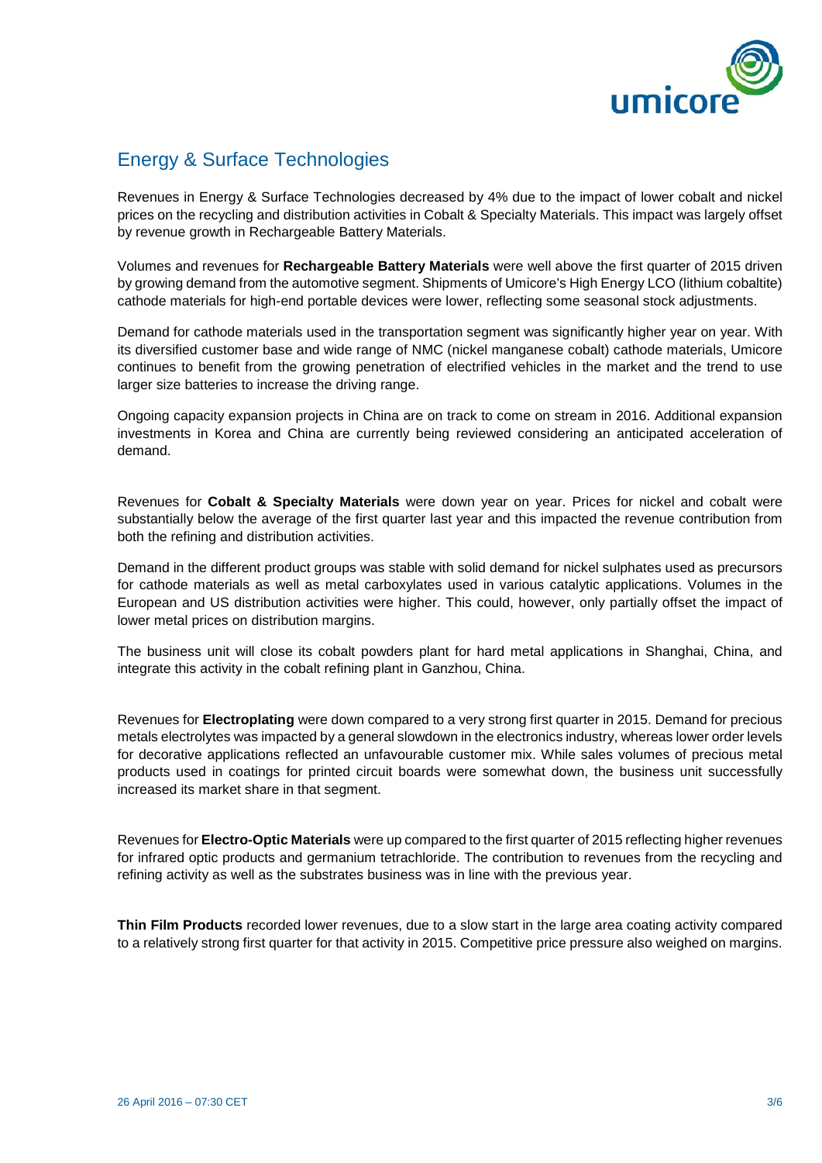

# Energy & Surface Technologies

Revenues in Energy & Surface Technologies decreased by 4% due to the impact of lower cobalt and nickel prices on the recycling and distribution activities in Cobalt & Specialty Materials. This impact was largely offset by revenue growth in Rechargeable Battery Materials.

Volumes and revenues for **Rechargeable Battery Materials** were well above the first quarter of 2015 driven by growing demand from the automotive segment. Shipments of Umicore's High Energy LCO (lithium cobaltite) cathode materials for high-end portable devices were lower, reflecting some seasonal stock adjustments.

Demand for cathode materials used in the transportation segment was significantly higher year on year. With its diversified customer base and wide range of NMC (nickel manganese cobalt) cathode materials, Umicore continues to benefit from the growing penetration of electrified vehicles in the market and the trend to use larger size batteries to increase the driving range.

Ongoing capacity expansion projects in China are on track to come on stream in 2016. Additional expansion investments in Korea and China are currently being reviewed considering an anticipated acceleration of demand.

Revenues for **Cobalt & Specialty Materials** were down year on year. Prices for nickel and cobalt were substantially below the average of the first quarter last year and this impacted the revenue contribution from both the refining and distribution activities.

Demand in the different product groups was stable with solid demand for nickel sulphates used as precursors for cathode materials as well as metal carboxylates used in various catalytic applications. Volumes in the European and US distribution activities were higher. This could, however, only partially offset the impact of lower metal prices on distribution margins.

The business unit will close its cobalt powders plant for hard metal applications in Shanghai, China, and integrate this activity in the cobalt refining plant in Ganzhou, China.

Revenues for **Electroplating** were down compared to a very strong first quarter in 2015. Demand for precious metals electrolytes was impacted by a general slowdown in the electronics industry, whereas lower order levels for decorative applications reflected an unfavourable customer mix. While sales volumes of precious metal products used in coatings for printed circuit boards were somewhat down, the business unit successfully increased its market share in that segment.

Revenues for **Electro-Optic Materials** were up compared to the first quarter of 2015 reflecting higher revenues for infrared optic products and germanium tetrachloride. The contribution to revenues from the recycling and refining activity as well as the substrates business was in line with the previous year.

**Thin Film Products** recorded lower revenues, due to a slow start in the large area coating activity compared to a relatively strong first quarter for that activity in 2015. Competitive price pressure also weighed on margins.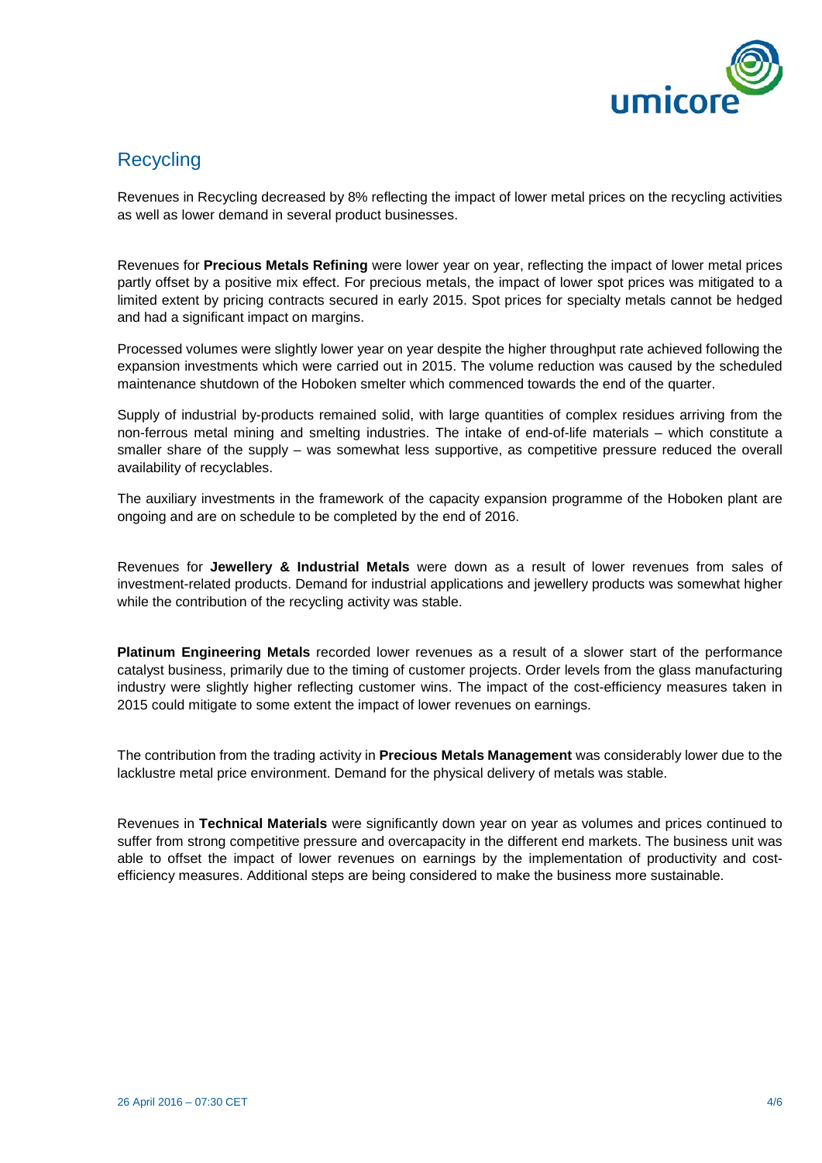

# **Recycling**

Revenues in Recycling decreased by 8% reflecting the impact of lower metal prices on the recycling activities as well as lower demand in several product businesses.

Revenues for **Precious Metals Refining** were lower year on year, reflecting the impact of lower metal prices partly offset by a positive mix effect. For precious metals, the impact of lower spot prices was mitigated to a limited extent by pricing contracts secured in early 2015. Spot prices for specialty metals cannot be hedged and had a significant impact on margins.

Processed volumes were slightly lower year on year despite the higher throughput rate achieved following the expansion investments which were carried out in 2015. The volume reduction was caused by the scheduled maintenance shutdown of the Hoboken smelter which commenced towards the end of the quarter.

Supply of industrial by-products remained solid, with large quantities of complex residues arriving from the non-ferrous metal mining and smelting industries. The intake of end-of-life materials – which constitute a smaller share of the supply – was somewhat less supportive, as competitive pressure reduced the overall availability of recyclables.

The auxiliary investments in the framework of the capacity expansion programme of the Hoboken plant are ongoing and are on schedule to be completed by the end of 2016.

Revenues for **Jewellery & Industrial Metals** were down as a result of lower revenues from sales of investment-related products. Demand for industrial applications and jewellery products was somewhat higher while the contribution of the recycling activity was stable.

**Platinum Engineering Metals** recorded lower revenues as a result of a slower start of the performance catalyst business, primarily due to the timing of customer projects. Order levels from the glass manufacturing industry were slightly higher reflecting customer wins. The impact of the cost-efficiency measures taken in 2015 could mitigate to some extent the impact of lower revenues on earnings.

The contribution from the trading activity in **Precious Metals Management** was considerably lower due to the lacklustre metal price environment. Demand for the physical delivery of metals was stable.

Revenues in **Technical Materials** were significantly down year on year as volumes and prices continued to suffer from strong competitive pressure and overcapacity in the different end markets. The business unit was able to offset the impact of lower revenues on earnings by the implementation of productivity and costefficiency measures. Additional steps are being considered to make the business more sustainable.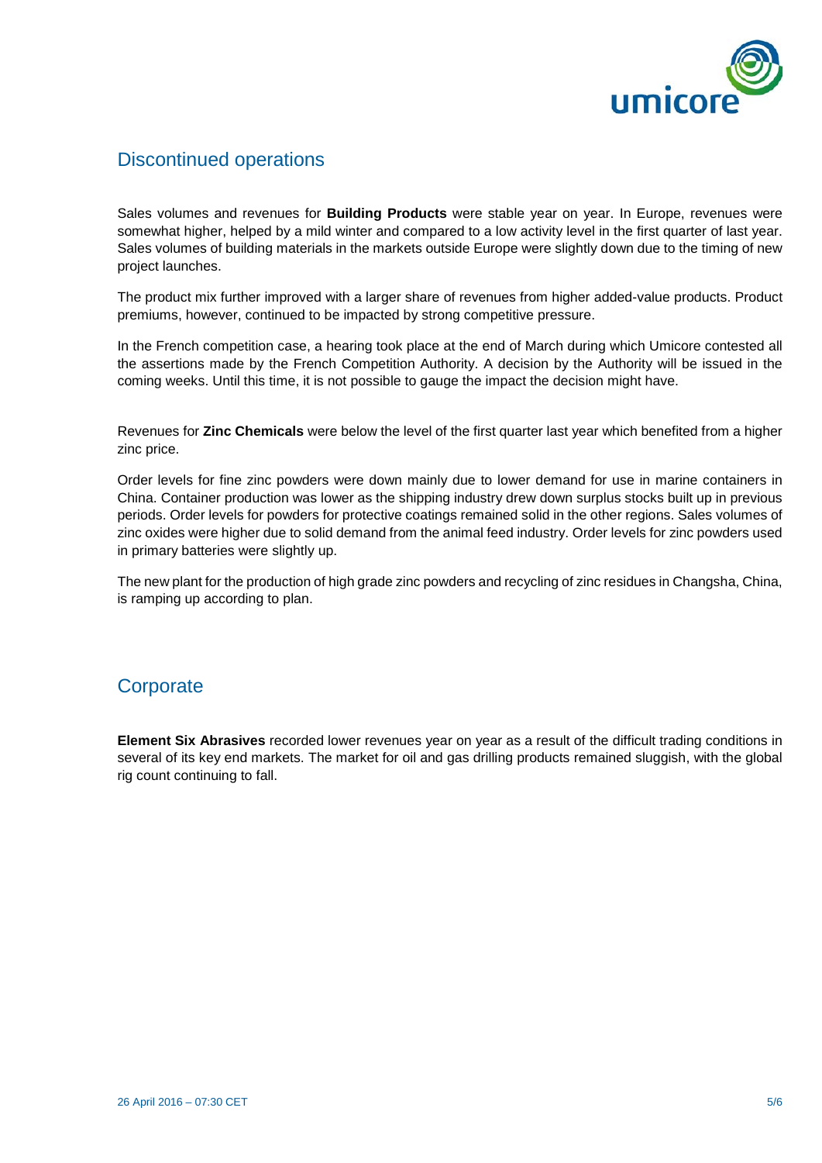

#### Discontinued operations

Sales volumes and revenues for **Building Products** were stable year on year. In Europe, revenues were somewhat higher, helped by a mild winter and compared to a low activity level in the first quarter of last year. Sales volumes of building materials in the markets outside Europe were slightly down due to the timing of new project launches.

The product mix further improved with a larger share of revenues from higher added-value products. Product premiums, however, continued to be impacted by strong competitive pressure.

In the French competition case, a hearing took place at the end of March during which Umicore contested all the assertions made by the French Competition Authority. A decision by the Authority will be issued in the coming weeks. Until this time, it is not possible to gauge the impact the decision might have.

Revenues for **Zinc Chemicals** were below the level of the first quarter last year which benefited from a higher zinc price.

Order levels for fine zinc powders were down mainly due to lower demand for use in marine containers in China. Container production was lower as the shipping industry drew down surplus stocks built up in previous periods. Order levels for powders for protective coatings remained solid in the other regions. Sales volumes of zinc oxides were higher due to solid demand from the animal feed industry. Order levels for zinc powders used in primary batteries were slightly up.

The new plant for the production of high grade zinc powders and recycling of zinc residues in Changsha, China, is ramping up according to plan.

#### **Corporate**

**Element Six Abrasives** recorded lower revenues year on year as a result of the difficult trading conditions in several of its key end markets. The market for oil and gas drilling products remained sluggish, with the global rig count continuing to fall.